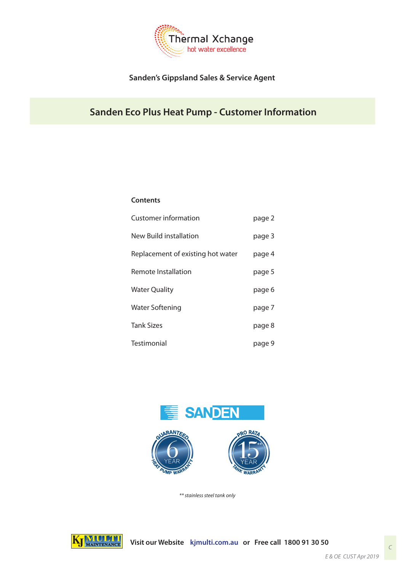

# **Sanden's Gippsland Sales & Service Agent**

# **Sanden Eco Plus Heat Pump - Customer Information**

#### **Contents**

| Customer information              | page 2 |
|-----------------------------------|--------|
| New Build installation            | page 3 |
| Replacement of existing hot water | page 4 |
| Remote Installation               | page 5 |
| Water Quality                     | page 6 |
| Water Softening                   | page 7 |
| Tank Sizes                        | page 8 |
| Testimonial                       | page 9 |



*\*\* stainless steel tank only*

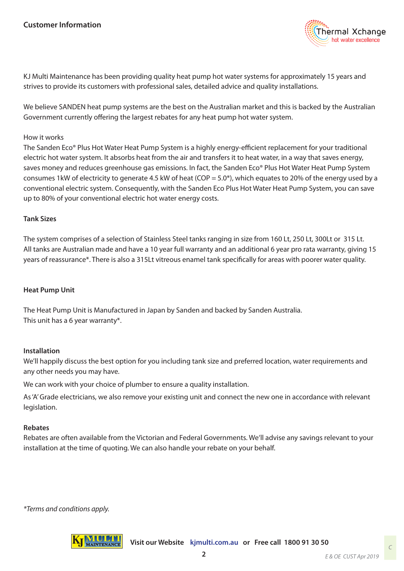

KJ Multi Maintenance has been providing quality heat pump hot water systems for approximately 15 years and strives to provide its customers with professional sales, detailed advice and quality installations.

We believe SANDEN heat pump systems are the best on the Australian market and this is backed by the Australian Government currently offering the largest rebates for any heat pump hot water system.

#### How it works

The Sanden Eco® Plus Hot Water Heat Pump System is a highly energy-efficient replacement for your traditional electric hot water system. It absorbs heat from the air and transfers it to heat water, in a way that saves energy, saves money and reduces greenhouse gas emissions. In fact, the Sanden Eco® Plus Hot Water Heat Pump System consumes 1kW of electricity to generate 4.5 kW of heat (COP = 5.0<sup>\*</sup>), which equates to 20% of the energy used by a conventional electric system. Consequently, with the Sanden Eco Plus Hot Water Heat Pump System, you can save up to 80% of your conventional electric hot water energy costs.

#### **Tank Sizes**

The system comprises of a selection of Stainless Steel tanks ranging in size from 160 Lt, 250 Lt, 300Lt or 315 Lt. All tanks are Australian made and have a 10 year full warranty and an additional 6 year pro rata warranty, giving 15 years of reassurance\*. There is also a 315Lt vitreous enamel tank specifically for areas with poorer water quality.

### **Heat Pump Unit**

The Heat Pump Unit is Manufactured in Japan by Sanden and backed by Sanden Australia. This unit has a 6 year warranty\*.

#### **Installation**

We'll happily discuss the best option for you including tank size and preferred location, water requirements and any other needs you may have.

We can work with your choice of plumber to ensure a quality installation.

As 'A' Grade electricians, we also remove your existing unit and connect the new one in accordance with relevant legislation.

#### **Rebates**

Rebates are often available from the Victorian and Federal Governments. We'll advise any savings relevant to your installation at the time of quoting. We can also handle your rebate on your behalf.

*\*Terms and conditions apply.*

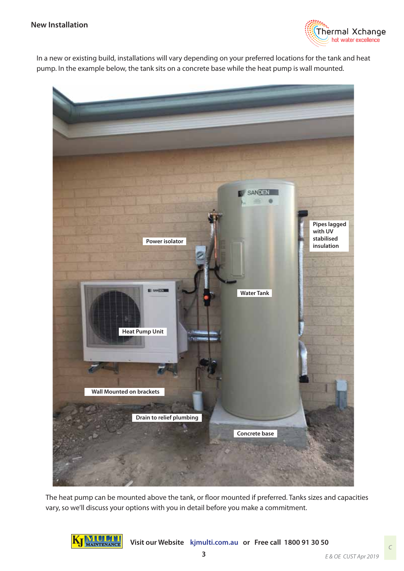### **New Installation**



In a new or existing build, installations will vary depending on your preferred locations for the tank and heat pump. In the example below, the tank sits on a concrete base while the heat pump is wall mounted.



The heat pump can be mounted above the tank, or floor mounted if preferred. Tanks sizes and capacities vary, so we'll discuss your options with you in detail before you make a commitment.

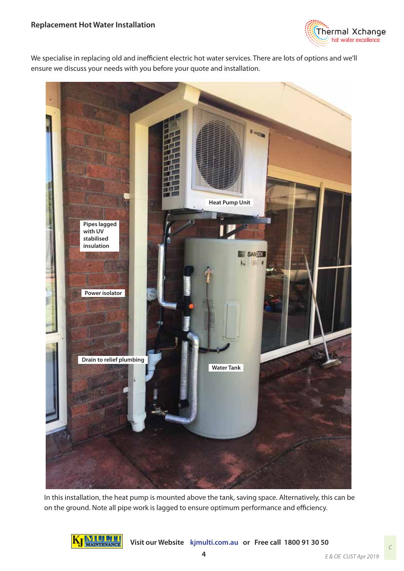

We specialise in replacing old and inefficient electric hot water services. There are lots of options and we'll ensure we discuss your needs with you before your quote and installation.



In this installation, the heat pump is mounted above the tank, saving space. Alternatively, this can be on the ground. Note all pipe work is lagged to ensure optimum performance and efficiency.

![](_page_3_Picture_5.jpeg)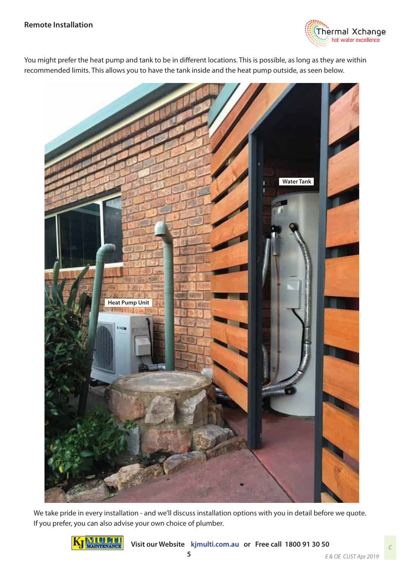![](_page_4_Picture_1.jpeg)

You might prefer the heat pump and tank to be in different locations. This is possible, as long as they are within recommended limits. This allows you to have the tank inside and the heat pump outside, as seen below.

![](_page_4_Picture_3.jpeg)

We take pride in every installation - and we'll discuss installation options with you in detail before we quote. If you prefer, you can also advise your own choice of plumber.

![](_page_4_Picture_5.jpeg)

**Visit our Website kjmulti.com.au or Free call 1800 91 30 50**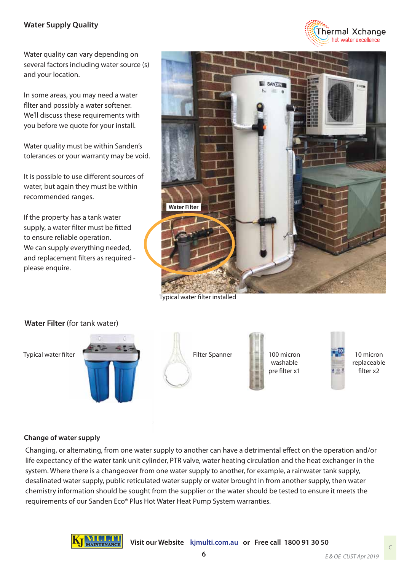## **Water Supply Quality**

Water quality can vary depending on several factors including water source (s) and your location.

In some areas, you may need a water fliter and possibly a water softener. We'll discuss these requirements with you before we quote for your install.

Water quality must be within Sanden's tolerances or your warranty may be void.

It is possible to use different sources of water, but again they must be within recommended ranges.

If the property has a tank water supply, a water filter must be fitted to ensure reliable operation. We can supply everything needed, and replacement filters as required please enquire.

![](_page_5_Picture_6.jpeg)

Typical water filter installed

![](_page_5_Picture_8.jpeg)

### **Change of water supply**

Changing, or alternating, from one water supply to another can have a detrimental effect on the operation and/or life expectancy of the water tank unit cylinder, PTR valve, water heating circulation and the heat exchanger in the system. Where there is a changeover from one water supply to another, for example, a rainwater tank supply, desalinated water supply, public reticulated water supply or water brought in from another supply, then water chemistry information should be sought from the supplier or the water should be tested to ensure it meets the requirements of our Sanden Eco® Plus Hot Water Heat Pump System warranties.

![](_page_5_Picture_11.jpeg)

Thermal Xchange hot water excellence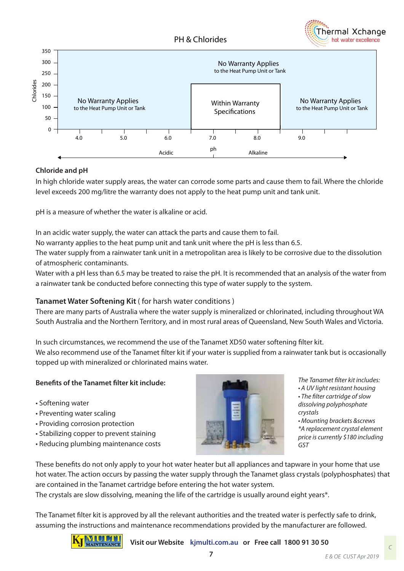![](_page_6_Picture_1.jpeg)

![](_page_6_Figure_2.jpeg)

### **Chloride and pH**

In high chloride water supply areas, the water can corrode some parts and cause them to fail. Where the chloride level exceeds 200 mg/litre the warranty does not apply to the heat pump unit and tank unit.

pH is a measure of whether the water is alkaline or acid.

In an acidic water supply, the water can attack the parts and cause them to fail.

No warranty applies to the heat pump unit and tank unit where the pH is less than 6.5.

The water supply from a rainwater tank unit in a metropolitan area is likely to be corrosive due to the dissolution of atmospheric contaminants.

Water with a pH less than 6.5 may be treated to raise the pH. It is recommended that an analysis of the water from a rainwater tank be conducted before connecting this type of water supply to the system.

### **Tanamet Water Softening Kit** ( for harsh water conditions )

There are many parts of Australia where the water supply is mineralized or chlorinated, including throughout WA South Australia and the Northern Territory, and in most rural areas of Queensland, New South Wales and Victoria.

In such circumstances, we recommend the use of the Tanamet XD50 water softening filter kit.

We also recommend use of the Tanamet filter kit if your water is supplied from a rainwater tank but is occasionally topped up with mineralized or chlorinated mains water.

### **Benefits of the Tanamet filter kit include:**

- Softening water
- Preventing water scaling
- Providing corrosion protection
- Stabilizing copper to prevent staining
- Reducing plumbing maintenance costs

![](_page_6_Picture_20.jpeg)

- **The Tanamet filter kit includes:**
- A UV light resistant housing • The filter cartridge of slow

dissolving polyphosphate *crystals*

• Mounting brackets &screws *\*A replacement crystal element*  price is currently \$180 including *GST*

These benefits do not only apply to your hot water heater but all appliances and tapware in your home that use hot water. The action occurs by passing the water supply through the Tanamet glass crystals (polyphosphates) that are contained in the Tanamet cartridge before entering the hot water system.

The crystals are slow dissolving, meaning the life of the cartridge is usually around eight years\*.

The Tanamet filter kit is approved by all the relevant authorities and the treated water is perfectly safe to drink, assuming the instructions and maintenance recommendations provided by the manufacturer are followed.

![](_page_6_Picture_28.jpeg)

**Visit our Website kjmulti.com.au or Free call 1800 91 30 50**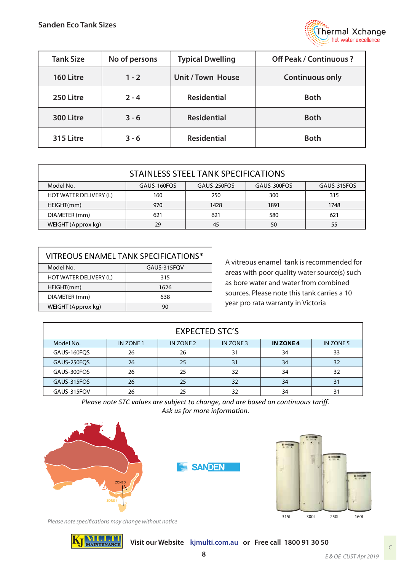![](_page_7_Picture_1.jpeg)

| <b>Tank Size</b> | No of persons | <b>Typical Dwelling</b> | <b>Off Peak / Continuous ?</b> |  |
|------------------|---------------|-------------------------|--------------------------------|--|
| 160 Litre        | $1 - 2$       | Unit / Town House       | <b>Continuous only</b>         |  |
| 250 Litre        | $2 - 4$       | <b>Residential</b>      | <b>Both</b>                    |  |
| 300 Litre        | $3 - 6$       | <b>Residential</b>      | <b>Both</b>                    |  |
| 315 Litre        | $3 - 6$       | <b>Residential</b>      | <b>Both</b>                    |  |

| STAINLESS STEEL TANK SPECIFICATIONS |             |             |      |      |  |
|-------------------------------------|-------------|-------------|------|------|--|
| Model No.                           | GAUS-300FQS | GAUS-315FQS |      |      |  |
| HOT WATER DELIVERY (L)              | 160         | 250         | 300  | 315  |  |
| HEIGHT(mm)                          | 970         | 1428        | 1891 | 1748 |  |
| DIAMETER (mm)                       | 621         | 621         | 580  | 621  |  |
| WEIGHT (Approx kg)                  | 29          | 45          | 50   | 55   |  |

| VITREOUS ENAMEL TANK SPECIFICATIONS* |      |  |  |
|--------------------------------------|------|--|--|
| Model No.<br>GAUS-315FOV             |      |  |  |
| HOT WATER DELIVERY (L)               | 315  |  |  |
| HEIGHT(mm)                           | 1626 |  |  |
| DIAMETER (mm)                        | 638  |  |  |
| WEIGHT (Approx kg)                   | 90   |  |  |

A vitreous enamel tank is recommended for areas with poor quality water source(s) such as bore water and water from combined sources. Please note this tank carries a 10 year pro rata warranty in Victoria

| <b>EXPECTED STC'S</b> |           |           |           |                  |           |
|-----------------------|-----------|-----------|-----------|------------------|-----------|
| Model No.             | IN ZONE 1 | IN ZONE 2 | IN ZONE 3 | <b>IN ZONE 4</b> | IN ZONE 5 |
| GAUS-160FQS           | 26        | 26        | 31        | 34               | 33        |
| GAUS-250FQS           | 26        | 25        | 31        | 34               | 32        |
| GAUS-300FQS           | 26        | 25        | 32        | 34               | 32        |
| GAUS-315FQS           | 26        | 25        | 32        | 34               | 31        |
| GAUS-315FQV           | 26        | 25        | 32        | 34               | 31        |

*Please note STC values are subject to change, and are based on continuous tariff. Ask us for more information.*

![](_page_7_Picture_8.jpeg)

Please note specifications may change without notice

![](_page_7_Picture_10.jpeg)

**Visit our Website kjmulti.com.au or Free call 1800 91 30 50**